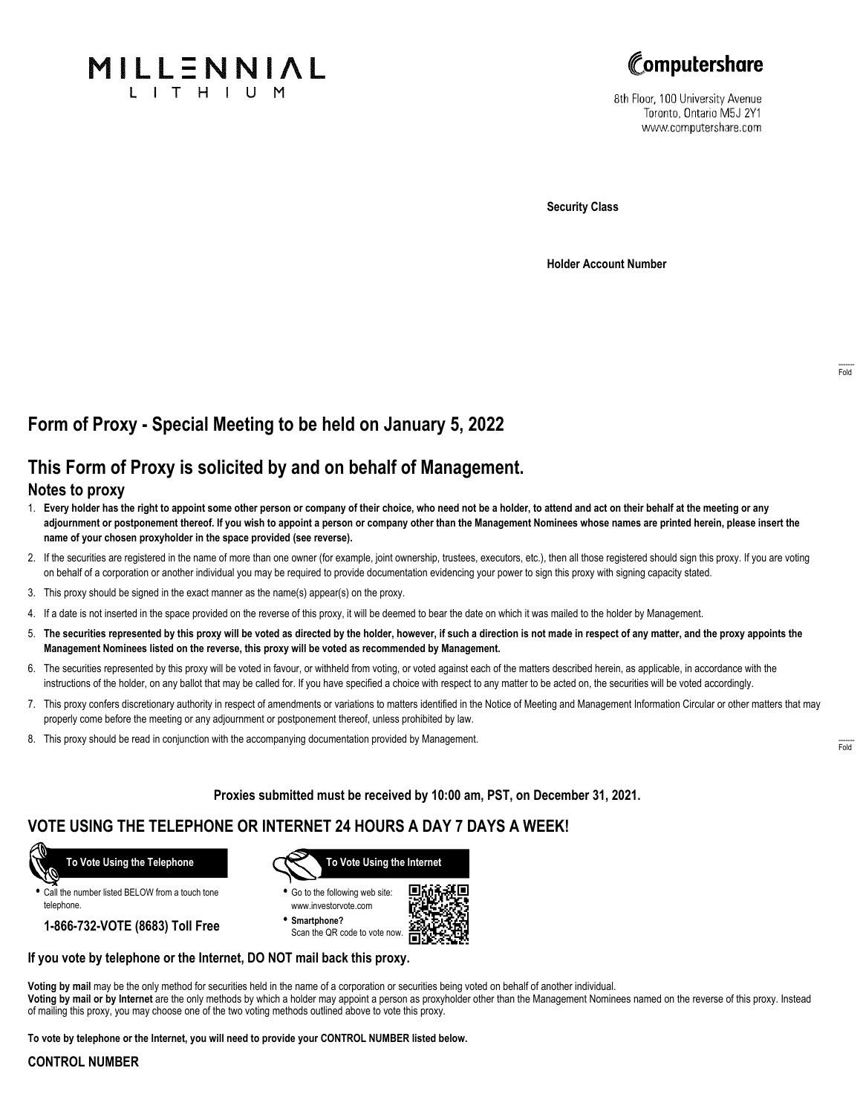



8th Floor, 100 University Avenue Toronto, Ontario M5J 2Y1 www.computershare.com

**Security Class**

**Holder Account Number**

# **Form of Proxy - Special Meeting to be held on January 5, 2022**

## **This Form of Proxy is solicited by and on behalf of Management.**

### **Notes to proxy**

- 1. **Every holder has the right to appoint some other person or company of their choice, who need not be a holder, to attend and act on their behalf at the meeting or any adjournment or postponement thereof. If you wish to appoint a person or company other than the Management Nominees whose names are printed herein, please insert the name of your chosen proxyholder in the space provided (see reverse).**
- 2. If the securities are registered in the name of more than one owner (for example, joint ownership, trustees, executors, etc.), then all those registered should sign this proxy. If you are voting on behalf of a corporation or another individual you may be required to provide documentation evidencing your power to sign this proxy with signing capacity stated.
- 3. This proxy should be signed in the exact manner as the name(s) appear(s) on the proxy.
- 4. If a date is not inserted in the space provided on the reverse of this proxy, it will be deemed to bear the date on which it was mailed to the holder by Management.
- 5. **The securities represented by this proxy will be voted as directed by the holder, however, if such a direction is not made in respect of any matter, and the proxy appoints the Management Nominees listed on the reverse, this proxy will be voted as recommended by Management.**
- 6. The securities represented by this proxy will be voted in favour, or withheld from voting, or voted against each of the matters described herein, as applicable, in accordance with the instructions of the holder, on any ballot that may be called for. If you have specified a choice with respect to any matter to be acted on, the securities will be voted accordingly.
- 7. This proxy confers discretionary authority in respect of amendments or variations to matters identified in the Notice of Meeting and Management Information Circular or other matters that may properly come before the meeting or any adjournment or postponement thereof, unless prohibited by law.
- 8. This proxy should be read in conjunction with the accompanying documentation provided by Management.

**Proxies submitted must be received by 10:00 am, PST, on December 31, 2021.**

## **VOTE USING THE TELEPHONE OR INTERNET 24 HOURS A DAY 7 DAYS A WEEK!**



**•** Call the number listed BELOW from a touch tone telephone.

**1-866-732-VOTE (8683) Toll Free**



**•** Go to the following web site: www.investorvote.com

**• Smartphone?** Scan the QR code to vote now.



#### **If you vote by telephone or the Internet, DO NOT mail back this proxy.**

**Voting by mail** may be the only method for securities held in the name of a corporation or securities being voted on behalf of another individual. **Voting by mail or by Internet** are the only methods by which a holder may appoint a person as proxyholder other than the Management Nominees named on the reverse of this proxy. Instead of mailing this proxy, you may choose one of the two voting methods outlined above to vote this proxy.

**To vote by telephone or the Internet, you will need to provide your CONTROL NUMBER listed below.**

#### **CONTROL NUMBER**